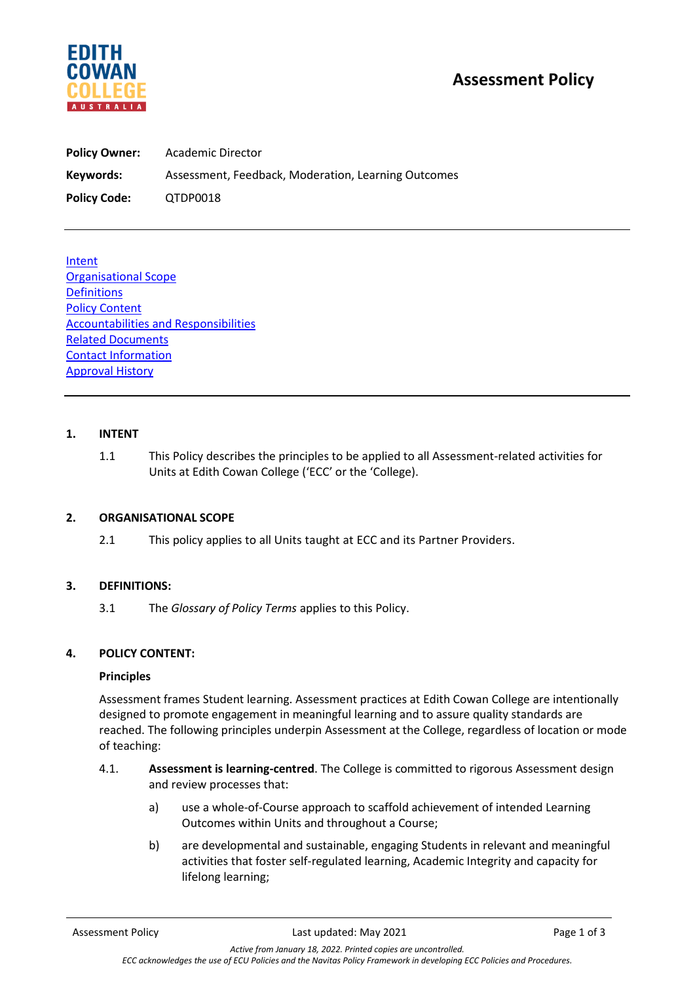

# **Assessment Policy**

| <b>Policy Owner:</b> | Academic Director                                   |  |
|----------------------|-----------------------------------------------------|--|
| Keywords:            | Assessment, Feedback, Moderation, Learning Outcomes |  |
| <b>Policy Code:</b>  | QTDP0018                                            |  |

**Intent** Organisational Scope **Definitions** Policy Content Accountabilities and Responsibilities Related Documents Contact Information Approval History

### **1. INTENT**

1.1 This Policy describes the principles to be applied to all Assessment-related activities for Units at Edith Cowan College ('ECC' or the 'College).

### **2. ORGANISATIONAL SCOPE**

2.1 This policy applies to all Units taught at ECC and its Partner Providers.

### **3. DEFINITIONS:**

3.1 The *Glossary of Policy Terms* applies to this Policy.

#### **4. POLICY CONTENT:**

#### **Principles**

Assessment frames Student learning. Assessment practices at Edith Cowan College are intentionally designed to promote engagement in meaningful learning and to assure quality standards are reached. The following principles underpin Assessment at the College, regardless of location or mode of teaching:

- 4.1. **Assessment is learning-centred**. The College is committed to rigorous Assessment design and review processes that:
	- a) use a whole-of-Course approach to scaffold achievement of intended Learning Outcomes within Units and throughout a Course;
	- b) are developmental and sustainable, engaging Students in relevant and meaningful activities that foster self-regulated learning, Academic Integrity and capacity for lifelong learning;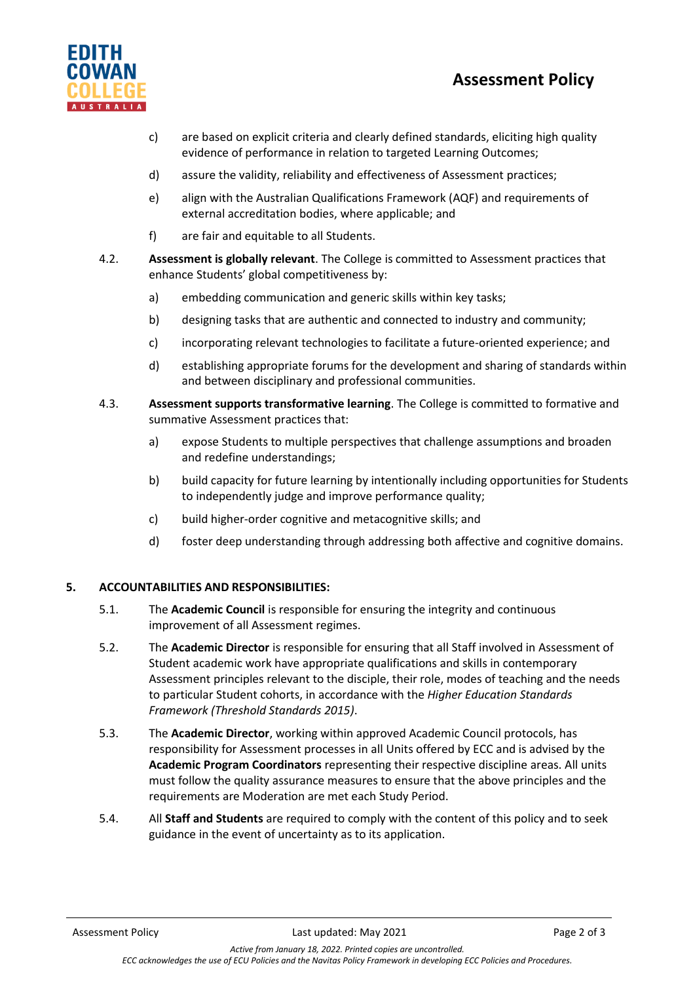# **Assessment Policy**



- c) are based on explicit criteria and clearly defined standards, eliciting high quality evidence of performance in relation to targeted Learning Outcomes;
- d) assure the validity, reliability and effectiveness of Assessment practices;
- e) align with the Australian Qualifications Framework (AQF) and requirements of external accreditation bodies, where applicable; and
- f) are fair and equitable to all Students.
- 4.2. **Assessment is globally relevant**. The College is committed to Assessment practices that enhance Students' global competitiveness by:
	- a) embedding communication and generic skills within key tasks;
	- b) designing tasks that are authentic and connected to industry and community;
	- c) incorporating relevant technologies to facilitate a future-oriented experience; and
	- d) establishing appropriate forums for the development and sharing of standards within and between disciplinary and professional communities.
- 4.3. **Assessment supports transformative learning**. The College is committed to formative and summative Assessment practices that:
	- a) expose Students to multiple perspectives that challenge assumptions and broaden and redefine understandings;
	- b) build capacity for future learning by intentionally including opportunities for Students to independently judge and improve performance quality;
	- c) build higher-order cognitive and metacognitive skills; and
	- d) foster deep understanding through addressing both affective and cognitive domains.

## **5. ACCOUNTABILITIES AND RESPONSIBILITIES:**

- 5.1. The **Academic Council** is responsible for ensuring the integrity and continuous improvement of all Assessment regimes.
- 5.2. The **Academic Director** is responsible for ensuring that all Staff involved in Assessment of Student academic work have appropriate qualifications and skills in contemporary Assessment principles relevant to the disciple, their role, modes of teaching and the needs to particular Student cohorts, in accordance with the *Higher Education Standards Framework (Threshold Standards 2015)*.
- 5.3. The **Academic Director**, working within approved Academic Council protocols, has responsibility for Assessment processes in all Units offered by ECC and is advised by the **Academic Program Coordinators** representing their respective discipline areas. All units must follow the quality assurance measures to ensure that the above principles and the requirements are Moderation are met each Study Period.
- 5.4. All **Staff and Students** are required to comply with the content of this policy and to seek guidance in the event of uncertainty as to its application.

*Active from January 18, 2022. Printed copies are uncontrolled. ECC acknowledges the use of ECU Policies and the Navitas Policy Framework in developing ECC Policies and Procedures.*